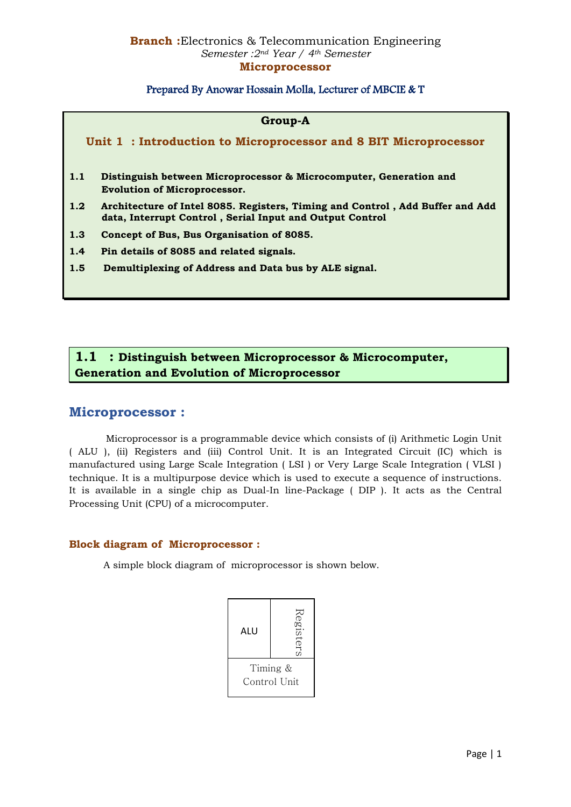## Prepared By Anowar Hossain Molla, Lecturer of MBCIE & T

#### **Group-A**

**Unit 1 : Introduction to Microprocessor and 8 BIT Microprocessor**

- **1.1 Distinguish between Microprocessor & Microcomputer, Generation and Evolution of Microprocessor.**
- **1.2 Architecture of Intel 8085. Registers, Timing and Control , Add Buffer and Add data, Interrupt Control , Serial Input and Output Control**
- **1.3 Concept of Bus, Bus Organisation of 8085.**
- **1.4 Pin details of 8085 and related signals.**
- **1.5 Demultiplexing of Address and Data bus by ALE signal.**

## **1.1 : Distinguish between Microprocessor & Microcomputer, Generation and Evolution of Microprocessor**

## **Microprocessor :**

 Microprocessor is a programmable device which consists of (i) Arithmetic Login Unit ( ALU ), (ii) Registers and (iii) Control Unit. It is an Integrated Circuit (IC) which is manufactured using Large Scale Integration ( LSI ) or Very Large Scale Integration ( VLSI ) technique. It is a multipurpose device which is used to execute a sequence of instructions. It is available in a single chip as Dual-In line-Package ( DIP ). It acts as the Central Processing Unit (CPU) of a microcomputer.

#### **Block diagram of Microprocessor :**

A simple block diagram of microprocessor is shown below.

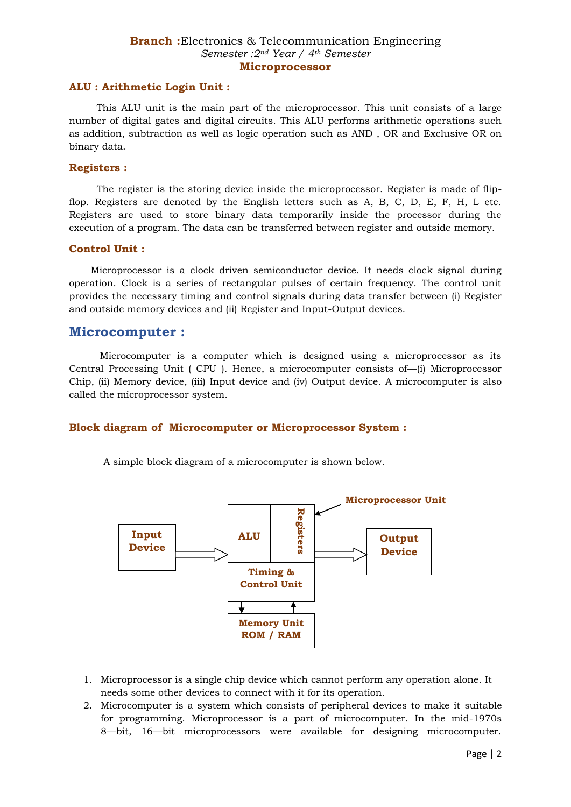#### **ALU : Arithmetic Login Unit :**

 This ALU unit is the main part of the microprocessor. This unit consists of a large number of digital gates and digital circuits. This ALU performs arithmetic operations such as addition, subtraction as well as logic operation such as AND , OR and Exclusive OR on binary data.

#### **Registers :**

 The register is the storing device inside the microprocessor. Register is made of flipflop. Registers are denoted by the English letters such as A, B, C, D, E, F, H, L etc. Registers are used to store binary data temporarily inside the processor during the execution of a program. The data can be transferred between register and outside memory.

#### **Control Unit :**

 Microprocessor is a clock driven semiconductor device. It needs clock signal during operation. Clock is a series of rectangular pulses of certain frequency. The control unit provides the necessary timing and control signals during data transfer between (i) Register and outside memory devices and (ii) Register and Input-Output devices.

## **Microcomputer :**

 Microcomputer is a computer which is designed using a microprocessor as its Central Processing Unit ( CPU ). Hence, a microcomputer consists of—(i) Microprocessor Chip, (ii) Memory device, (iii) Input device and (iv) Output device. A microcomputer is also called the microprocessor system.

#### **Block diagram of Microcomputer or Microprocessor System :**

A simple block diagram of a microcomputer is shown below.



- 1. Microprocessor is a single chip device which cannot perform any operation alone. It needs some other devices to connect with it for its operation.
- 2. Microcomputer is a system which consists of peripheral devices to make it suitable for programming. Microprocessor is a part of microcomputer. In the mid-1970s 8—bit, 16—bit microprocessors were available for designing microcomputer.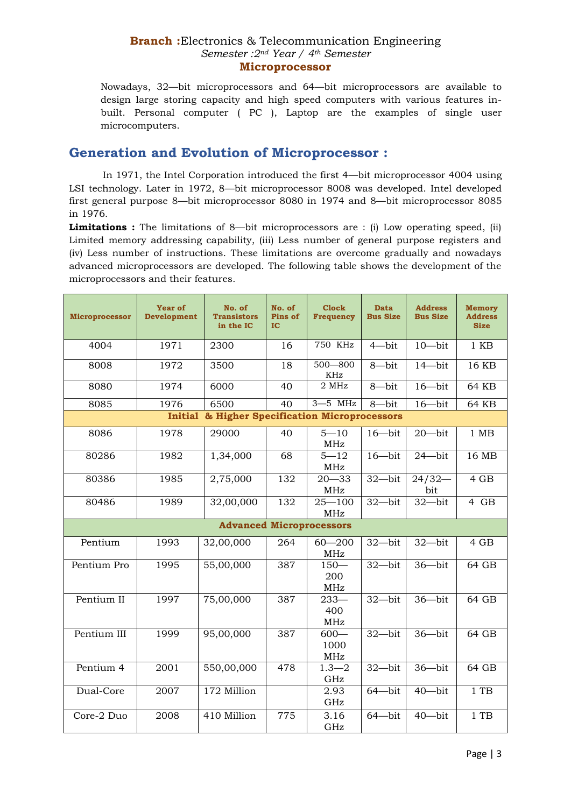Nowadays, 32—bit microprocessors and 64—bit microprocessors are available to design large storing capacity and high speed computers with various features inbuilt. Personal computer ( PC ), Laptop are the examples of single user microcomputers.

## **Generation and Evolution of Microprocessor :**

 In 1971, the Intel Corporation introduced the first 4—bit microprocessor 4004 using LSI technology. Later in 1972, 8—bit microprocessor 8008 was developed. Intel developed first general purpose 8—bit microprocessor 8080 in 1974 and 8—bit microprocessor 8085 in 1976.

**Limitations :** The limitations of 8—bit microprocessors are : (i) Low operating speed, (ii) Limited memory addressing capability, (iii) Less number of general purpose registers and (iv) Less number of instructions. These limitations are overcome gradually and nowadays advanced microprocessors are developed. The following table shows the development of the microprocessors and their features.

| <b>Microprocessor</b>                                    | Year of<br><b>Development</b> | No. of<br><b>Transistors</b><br>in the IC | No. of<br>Pins of<br>IC | <b>Clock</b><br><b>Frequency</b> | <b>Data</b><br><b>Bus Size</b> | <b>Address</b><br><b>Bus Size</b> | <b>Memory</b><br><b>Address</b><br><b>Size</b> |  |  |  |
|----------------------------------------------------------|-------------------------------|-------------------------------------------|-------------------------|----------------------------------|--------------------------------|-----------------------------------|------------------------------------------------|--|--|--|
| 4004                                                     | 1971                          | 2300                                      | 16                      | <b>750 KHz</b>                   | $4$ —bit                       | $10$ —bit                         | $1$ KB                                         |  |  |  |
| 8008                                                     | 1972                          | 3500                                      | $\overline{18}$         | $500 - 800$<br>KHz               | $8 - bit$                      | $14 - bit$                        | 16 KB                                          |  |  |  |
| 8080                                                     | 1974                          | 6000                                      | 40                      | 2 MHz                            | 8-bit                          | $16 - bit$                        | 64 KB                                          |  |  |  |
| 8085                                                     | 1976                          | 6500                                      | 40                      | $3 - 5$ MHz                      | 8-bit                          | $16 - bit$                        | 64 KB                                          |  |  |  |
| & Higher Specification Microprocessors<br><b>Initial</b> |                               |                                           |                         |                                  |                                |                                   |                                                |  |  |  |
| 8086                                                     | 1978                          | 29000                                     | 40                      | $5 - 10$<br>MHz                  | $16 - bit$                     | $20 - bit$                        | $1$ MB                                         |  |  |  |
| 80286                                                    | 1982                          | 1,34,000                                  | 68                      | $5 - 12$<br>MHz                  | $16 - bit$                     | $24 - bit$                        | 16 MB                                          |  |  |  |
| 80386                                                    | 1985                          | 2,75,000                                  | 132                     | $20 - 33$<br>MHz                 | 32-bit                         | $24/32-$<br>bit                   | 4 GB                                           |  |  |  |
| 80486                                                    | 1989                          | 32,00,000                                 | 132                     | $25 - 100$<br>MHz                | $32 - bit$                     | $32 - bit$                        | 4 GB                                           |  |  |  |
| <b>Advanced Microprocessors</b>                          |                               |                                           |                         |                                  |                                |                                   |                                                |  |  |  |
| Pentium                                                  | 1993                          | 32,00,000                                 | 264                     | $60 - 200$<br>MHz                | $32$ -bit                      | $32 - bit$                        | 4 GB                                           |  |  |  |
| Pentium Pro                                              | 1995                          | 55,00,000                                 | 387                     | $150 -$<br>200<br>MHz            | $32$ -bit                      | $36 - bit$                        | 64 GB                                          |  |  |  |
| Pentium II                                               | 1997                          | 75,00,000                                 | 387                     | $233 -$<br>400<br>MHz            | $32 - bit$                     | $36 - bit$                        | 64 GB                                          |  |  |  |
| Pentium III                                              | 1999                          | 95,00,000                                 | 387                     | $600 -$<br>1000<br>MHz           | 32-bit                         | 36-bit                            | 64 GB                                          |  |  |  |
| Pentium 4                                                | 2001                          | 550,00,000                                | 478                     | $1.3 - 2$<br>GHz                 | $32$ -bit                      | $36 - bit$                        | 64 GB                                          |  |  |  |
| Dual-Core                                                | 2007                          | 172 Million                               |                         | 2.93<br>GHz                      | $64 - bit$                     | $40$ —bit                         | $1$ TB                                         |  |  |  |
| Core-2 Duo                                               | 2008                          | 410 Million                               | 775                     | 3.16<br>GHz                      | $64 - bit$                     | $40$ —bit                         | $1$ TB                                         |  |  |  |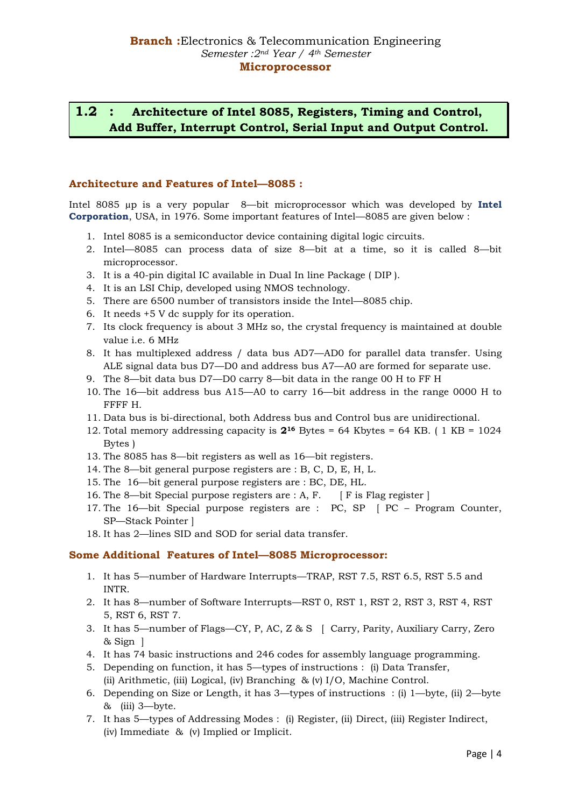## **1.2 : Architecture of Intel 8085, Registers, Timing and Control, Add Buffer, Interrupt Control, Serial Input and Output Control.**

### **Architecture and Features of Intel—8085 :**

Intel 8085 µp is a very popular 8—bit microprocessor which was developed by **Intel Corporation**, USA, in 1976. Some important features of Intel—8085 are given below :

- 1. Intel 8085 is a semiconductor device containing digital logic circuits.
- 2. Intel—8085 can process data of size 8—bit at a time, so it is called 8—bit microprocessor.
- 3. It is a 40-pin digital IC available in Dual In line Package ( DIP ).
- 4. It is an LSI Chip, developed using NMOS technology.
- 5. There are 6500 number of transistors inside the Intel—8085 chip.
- 6. It needs +5 V dc supply for its operation.
- 7. Its clock frequency is about 3 MHz so, the crystal frequency is maintained at double value i.e. 6 MHz
- 8. It has multiplexed address / data bus AD7—AD0 for parallel data transfer. Using ALE signal data bus D7—D0 and address bus A7—A0 are formed for separate use.
- 9. The 8—bit data bus D7—D0 carry 8—bit data in the range 00 H to FF H
- 10. The 16—bit address bus A15—A0 to carry 16—bit address in the range 0000 H to FFFF H.
- 11. Data bus is bi-directional, both Address bus and Control bus are unidirectional.
- 12. Total memory addressing capacity is **2<sup>16</sup>** Bytes = 64 Kbytes = 64 KB. ( 1 KB = 1024 Bytes )
- 13. The 8085 has 8—bit registers as well as 16—bit registers.
- 14. The 8—bit general purpose registers are : B, C, D, E, H, L.
- 15. The 16—bit general purpose registers are : BC, DE, HL.
- 16. The 8—bit Special purpose registers are : A, F. [ F is Flag register ]
- 17. The 16—bit Special purpose registers are : PC, SP [ PC Program Counter, SP—Stack Pointer ]
- 18. It has 2—lines SID and SOD for serial data transfer.

#### **Some Additional Features of Intel—8085 Microprocessor:**

- 1. It has 5—number of Hardware Interrupts—TRAP, RST 7.5, RST 6.5, RST 5.5 and INTR.
- 2. It has 8—number of Software Interrupts—RST 0, RST 1, RST 2, RST 3, RST 4, RST 5, RST 6, RST 7.
- 3. It has 5—number of Flags—CY, P, AC, Z & S [ Carry, Parity, Auxiliary Carry, Zero & Sign ]
- 4. It has 74 basic instructions and 246 codes for assembly language programming.
- 5. Depending on function, it has 5—types of instructions : (i) Data Transfer, (ii) Arithmetic, (iii) Logical, (iv) Branching & (v) I/O, Machine Control.
- 6. Depending on Size or Length, it has 3—types of instructions : (i) 1—byte, (ii) 2—byte  $&$  (iii) 3—byte.
- 7. It has 5—types of Addressing Modes : (i) Register, (ii) Direct, (iii) Register Indirect, (iv) Immediate & (v) Implied or Implicit.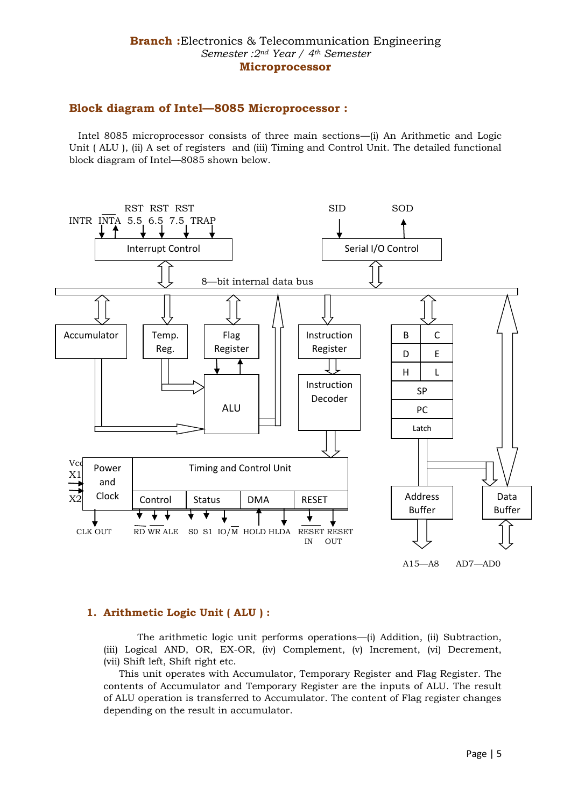## **Block diagram of Intel—8085 Microprocessor :**

 Intel 8085 microprocessor consists of three main sections—(i) An Arithmetic and Logic Unit ( ALU ), (ii) A set of registers and (iii) Timing and Control Unit. The detailed functional block diagram of Intel—8085 shown below.



## **1. Arithmetic Logic Unit ( ALU ) :**

 The arithmetic logic unit performs operations—(i) Addition, (ii) Subtraction, (iii) Logical AND, OR, EX-OR, (iv) Complement, (v) Increment, (vi) Decrement, (vii) Shift left, Shift right etc.

 This unit operates with Accumulator, Temporary Register and Flag Register. The contents of Accumulator and Temporary Register are the inputs of ALU. The result of ALU operation is transferred to Accumulator. The content of Flag register changes depending on the result in accumulator.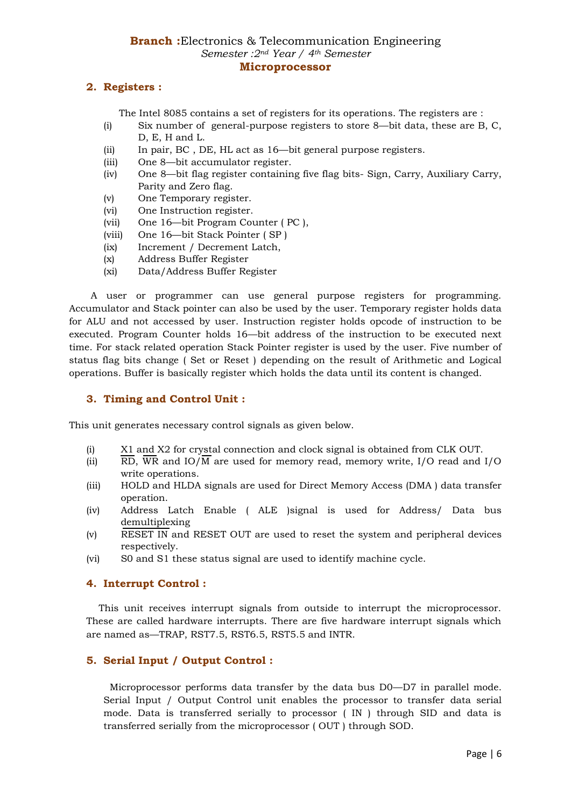## **2. Registers :**

The Intel 8085 contains a set of registers for its operations. The registers are :

- (i) Six number of general-purpose registers to store 8—bit data, these are B, C, D, E, H and L.
- (ii) In pair, BC , DE, HL act as 16—bit general purpose registers.
- (iii) One 8—bit accumulator register.
- (iv) One 8—bit flag register containing five flag bits- Sign, Carry, Auxiliary Carry, Parity and Zero flag.
- (v) One Temporary register.
- (vi) One Instruction register.
- (vii) One 16—bit Program Counter ( PC ),
- (viii) One 16—bit Stack Pointer ( SP )
- (ix) Increment / Decrement Latch,
- (x) Address Buffer Register
- (xi) Data/Address Buffer Register

 A user or programmer can use general purpose registers for programming. Accumulator and Stack pointer can also be used by the user. Temporary register holds data for ALU and not accessed by user. Instruction register holds opcode of instruction to be executed. Program Counter holds 16—bit address of the instruction to be executed next time. For stack related operation Stack Pointer register is used by the user. Five number of status flag bits change ( Set or Reset ) depending on the result of Arithmetic and Logical operations. Buffer is basically register which holds the data until its content is changed.

#### **3. Timing and Control Unit :**

This unit generates necessary control signals as given below.

- (i) X1 and X2 for crystal connection and clock signal is obtained from CLK OUT.
- (ii) RD, WR and IO/M are used for memory read, memory write, I/O read and I/O write operations.
- (iii) HOLD and HLDA signals are used for Direct Memory Access (DMA ) data transfer operation.
- (iv) Address Latch Enable ( ALE )signal is used for Address/ Data bus demultiplexing
- (v) RESET IN and RESET OUT are used to reset the system and peripheral devices respectively.
- (vi) S0 and S1 these status signal are used to identify machine cycle.

#### **4. Interrupt Control :**

 This unit receives interrupt signals from outside to interrupt the microprocessor. These are called hardware interrupts. There are five hardware interrupt signals which are named as—TRAP, RST7.5, RST6.5, RST5.5 and INTR.

#### **5. Serial Input / Output Control :**

 Microprocessor performs data transfer by the data bus D0—D7 in parallel mode. Serial Input / Output Control unit enables the processor to transfer data serial mode. Data is transferred serially to processor ( IN ) through SID and data is transferred serially from the microprocessor ( OUT ) through SOD.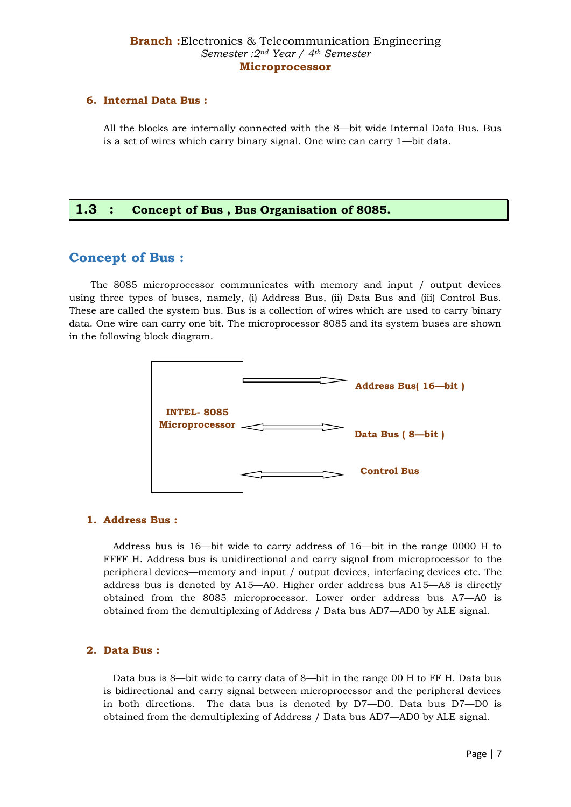#### **6. Internal Data Bus :**

All the blocks are internally connected with the 8—bit wide Internal Data Bus. Bus is a set of wires which carry binary signal. One wire can carry 1—bit data.

## **1.3 : Concept of Bus , Bus Organisation of 8085.**

## **Concept of Bus :**

 The 8085 microprocessor communicates with memory and input / output devices using three types of buses, namely, (i) Address Bus, (ii) Data Bus and (iii) Control Bus. These are called the system bus. Bus is a collection of wires which are used to carry binary data. One wire can carry one bit. The microprocessor 8085 and its system buses are shown in the following block diagram.



#### **1. Address Bus :**

 Address bus is 16—bit wide to carry address of 16—bit in the range 0000 H to FFFF H. Address bus is unidirectional and carry signal from microprocessor to the peripheral devices—memory and input / output devices, interfacing devices etc. The address bus is denoted by A15—A0. Higher order address bus A15—A8 is directly obtained from the 8085 microprocessor. Lower order address bus A7—A0 is obtained from the demultiplexing of Address / Data bus AD7—AD0 by ALE signal.

#### **2. Data Bus :**

 Data bus is 8—bit wide to carry data of 8—bit in the range 00 H to FF H. Data bus is bidirectional and carry signal between microprocessor and the peripheral devices in both directions. The data bus is denoted by D7—D0. Data bus D7—D0 is obtained from the demultiplexing of Address / Data bus AD7—AD0 by ALE signal.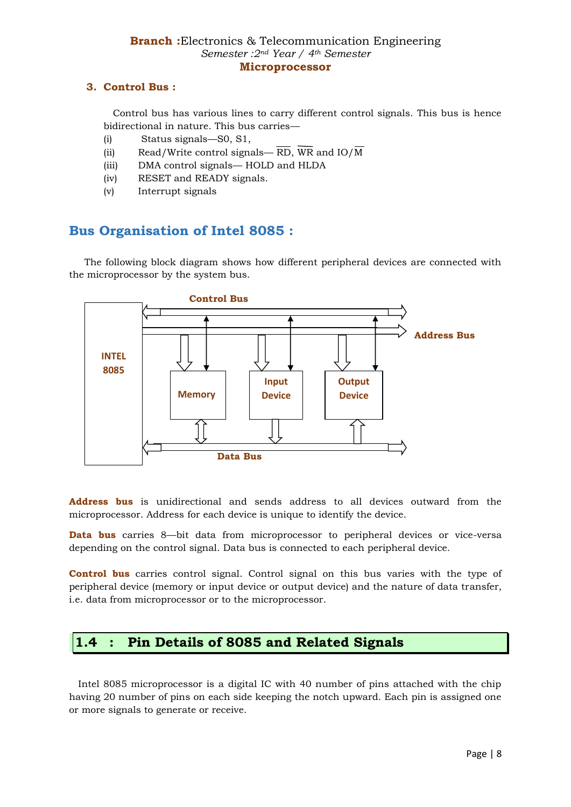## **3. Control Bus :**

 Control bus has various lines to carry different control signals. This bus is hence bidirectional in nature. This bus carries—

- (i) Status signals—S0, S1,
- (ii) Read/Write control signals—  $\overline{RD}$ ,  $\overline{WR}$  and  $IO/\overline{M}$
- (iii) DMA control signals— HOLD and HLDA
- (iv) RESET and READY signals.
- (v) Interrupt signals

# **Bus Organisation of Intel 8085 :**

 The following block diagram shows how different peripheral devices are connected with the microprocessor by the system bus.



**Address bus** is unidirectional and sends address to all devices outward from the microprocessor. Address for each device is unique to identify the device.

**Data bus** carries 8—bit data from microprocessor to peripheral devices or vice-versa depending on the control signal. Data bus is connected to each peripheral device.

**Control bus** carries control signal. Control signal on this bus varies with the type of peripheral device (memory or input device or output device) and the nature of data transfer, i.e. data from microprocessor or to the microprocessor.

## **1.4 : Pin Details of 8085 and Related Signals**

 Intel 8085 microprocessor is a digital IC with 40 number of pins attached with the chip having 20 number of pins on each side keeping the notch upward. Each pin is assigned one or more signals to generate or receive.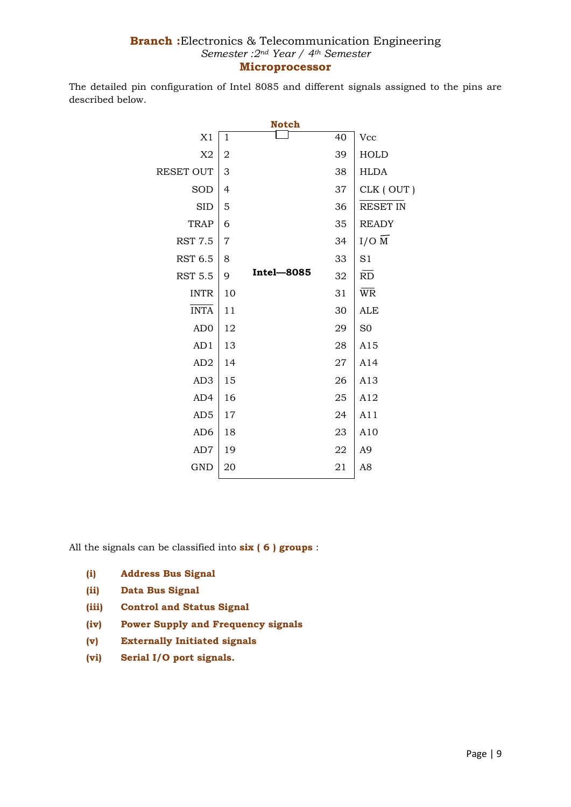The detailed pin configuration of Intel 8085 and different signals assigned to the pins are described below.

| <b>Notch</b>     |    |                   |    |                        |  |  |  |  |
|------------------|----|-------------------|----|------------------------|--|--|--|--|
| X1               | 1  |                   | 40 | Vcc                    |  |  |  |  |
| X2               | 2  |                   | 39 | <b>HOLD</b>            |  |  |  |  |
| <b>RESET OUT</b> | 3  |                   | 38 | <b>HLDA</b>            |  |  |  |  |
| SOD              | 4  |                   | 37 | CLK (OUT)              |  |  |  |  |
| <b>SID</b>       | 5  |                   | 36 | <b>RESET IN</b>        |  |  |  |  |
| <b>TRAP</b>      | 6  |                   | 35 | <b>READY</b>           |  |  |  |  |
| <b>RST 7.5</b>   | 7  |                   | 34 | $I/O$ M                |  |  |  |  |
| <b>RST 6.5</b>   | 8  |                   | 33 | S1                     |  |  |  |  |
| <b>RST 5.5</b>   | 9  | <b>Intel-8085</b> | 32 | $\overline{RD}$        |  |  |  |  |
| <b>INTR</b>      | 10 |                   | 31 | $\overline{\text{WR}}$ |  |  |  |  |
| <b>INTA</b>      | 11 |                   | 30 | ALE                    |  |  |  |  |
| AD <sub>0</sub>  | 12 |                   | 29 | S <sub>0</sub>         |  |  |  |  |
| AD1              | 13 |                   | 28 | A15                    |  |  |  |  |
| AD2              | 14 |                   | 27 | A14                    |  |  |  |  |
| AD <sub>3</sub>  | 15 |                   | 26 | A13                    |  |  |  |  |
| AD4              | 16 |                   | 25 | A12                    |  |  |  |  |
| AD5              | 17 |                   | 24 | A11                    |  |  |  |  |
| AD <sub>6</sub>  | 18 |                   | 23 | A10                    |  |  |  |  |
| AD7              | 19 |                   | 22 | A <sub>9</sub>         |  |  |  |  |
| <b>GND</b>       | 20 |                   | 21 | A8                     |  |  |  |  |
|                  |    |                   |    |                        |  |  |  |  |

All the signals can be classified into **six ( 6 ) groups** :

- **(i) Address Bus Signal**
- **(ii) Data Bus Signal**
- **(iii) Control and Status Signal**
- **(iv) Power Supply and Frequency signals**
- **(v) Externally Initiated signals**
- **(vi) Serial I/O port signals.**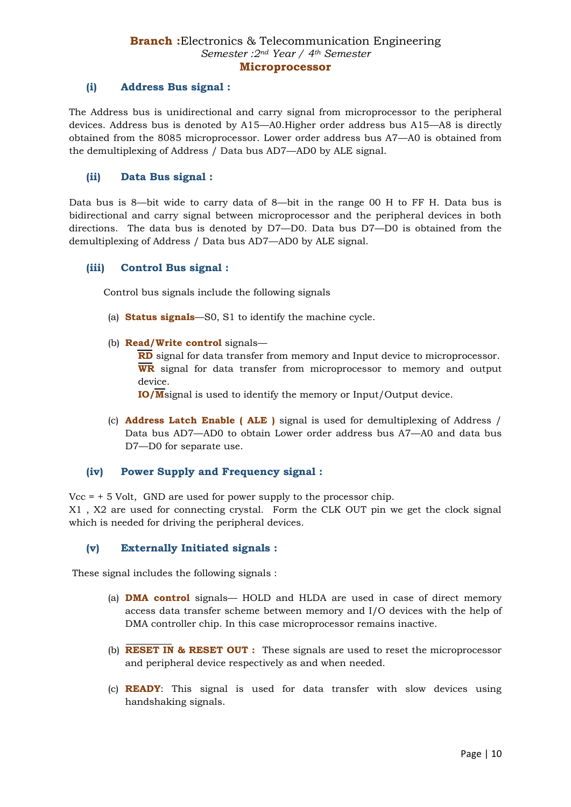## **(i) Address Bus signal :**

The Address bus is unidirectional and carry signal from microprocessor to the peripheral devices. Address bus is denoted by A15—A0.Higher order address bus A15—A8 is directly obtained from the 8085 microprocessor. Lower order address bus A7—A0 is obtained from the demultiplexing of Address / Data bus AD7—AD0 by ALE signal.

#### **(ii) Data Bus signal :**

Data bus is 8—bit wide to carry data of 8—bit in the range 00 H to FF H. Data bus is bidirectional and carry signal between microprocessor and the peripheral devices in both directions. The data bus is denoted by D7—D0. Data bus D7—D0 is obtained from the demultiplexing of Address / Data bus AD7—AD0 by ALE signal.

#### **(iii) Control Bus signal :**

Control bus signals include the following signals

- (a) **Status signals**—S0, S1 to identify the machine cycle.
- (b) **Read/Write control** signals—

**RD** signal for data transfer from memory and Input device to microprocessor. **WR** signal for data transfer from microprocessor to memory and output device.

**IO/M**signal is used to identify the memory or Input/Output device.

(c) **Address Latch Enable ( ALE )** signal is used for demultiplexing of Address / Data bus AD7—AD0 to obtain Lower order address bus A7—A0 and data bus D7—D0 for separate use.

#### **(iv) Power Supply and Frequency signal :**

 $Vcc = +5$  Volt, GND are used for power supply to the processor chip.

X1 , X2 are used for connecting crystal. Form the CLK OUT pin we get the clock signal which is needed for driving the peripheral devices.

#### **(v) Externally Initiated signals :**

These signal includes the following signals :

- (a) **DMA control** signals— HOLD and HLDA are used in case of direct memory access data transfer scheme between memory and I/O devices with the help of DMA controller chip. In this case microprocessor remains inactive.
- (b) **RESET IN & RESET OUT :** These signals are used to reset the microprocessor and peripheral device respectively as and when needed.
- (c) **READY**: This signal is used for data transfer with slow devices using handshaking signals.